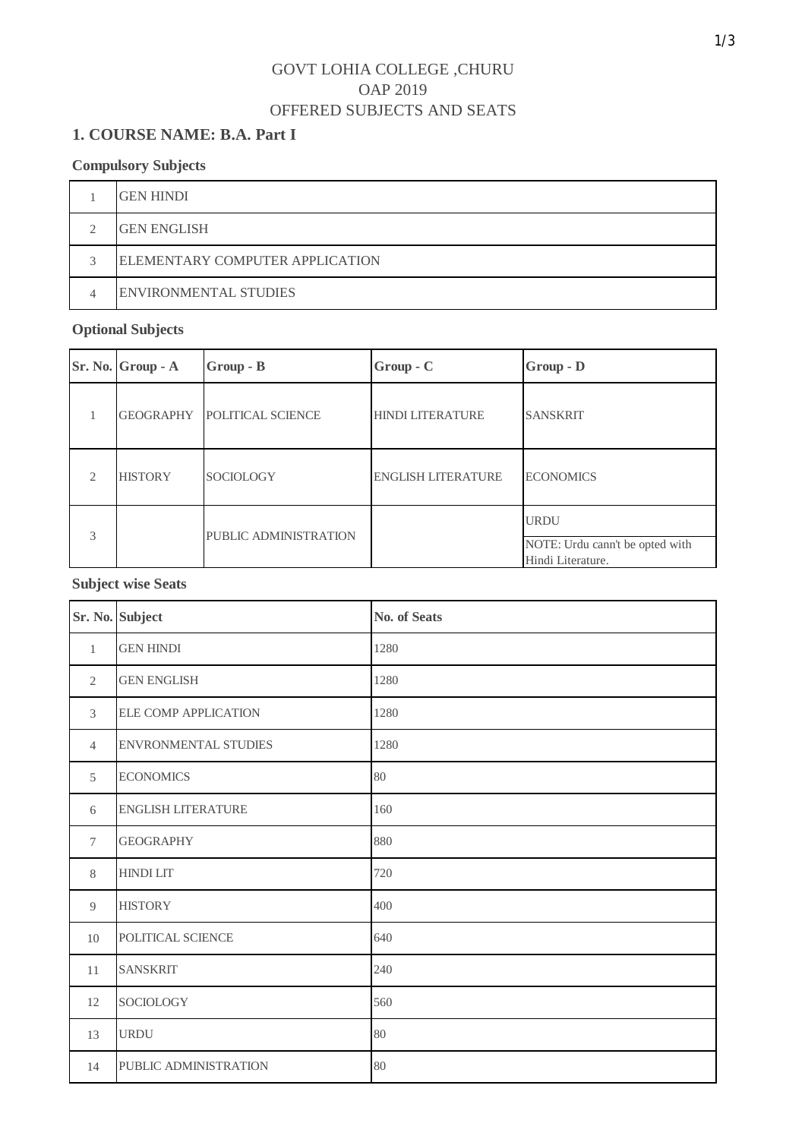### **1. COURSE NAME: B.A. Part I**

#### **Compulsory Subjects**

| <b>GEN HINDI</b>                |  |
|---------------------------------|--|
| <b>GEN ENGLISH</b>              |  |
| ELEMENTARY COMPUTER APPLICATION |  |
| <b>ENVIRONMENTAL STUDIES</b>    |  |

## **Optional Subjects**

|                             | Sr. No. Group - A | $Group - B$           | $Group-C$                 | Group - D                                                           |
|-----------------------------|-------------------|-----------------------|---------------------------|---------------------------------------------------------------------|
|                             | GEOGRAPHY         | POLITICAL SCIENCE     | <b>HINDI LITERATURE</b>   | <b>SANSKRIT</b>                                                     |
| $\mathcal{D}_{\mathcal{L}}$ | <b>HISTORY</b>    | <b>SOCIOLOGY</b>      | <b>ENGLISH LITERATURE</b> | <b>ECONOMICS</b>                                                    |
| 3                           |                   | PUBLIC ADMINISTRATION |                           | <b>URDU</b><br>NOTE: Urdu cann't be opted with<br>Hindi Literature. |

#### **Subject wise Seats**

|                | Sr. No. Subject             | <b>No. of Seats</b> |
|----------------|-----------------------------|---------------------|
| $\mathbf{1}$   | <b>GEN HINDI</b>            | 1280                |
| 2              | <b>GEN ENGLISH</b>          | 1280                |
| 3              | <b>ELE COMP APPLICATION</b> | 1280                |
| $\overline{4}$ | <b>ENVRONMENTAL STUDIES</b> | 1280                |
| 5              | <b>ECONOMICS</b>            | 80                  |
| 6              | <b>ENGLISH LITERATURE</b>   | 160                 |
| $\tau$         | <b>GEOGRAPHY</b>            | 880                 |
| 8              | <b>HINDI LIT</b>            | 720                 |
| 9              | <b>HISTORY</b>              | 400                 |
| 10             | POLITICAL SCIENCE           | 640                 |
| 11             | <b>SANSKRIT</b>             | 240                 |
| 12             | SOCIOLOGY                   | 560                 |
| 13             | <b>URDU</b>                 | 80                  |
| 14             | PUBLIC ADMINISTRATION       | 80                  |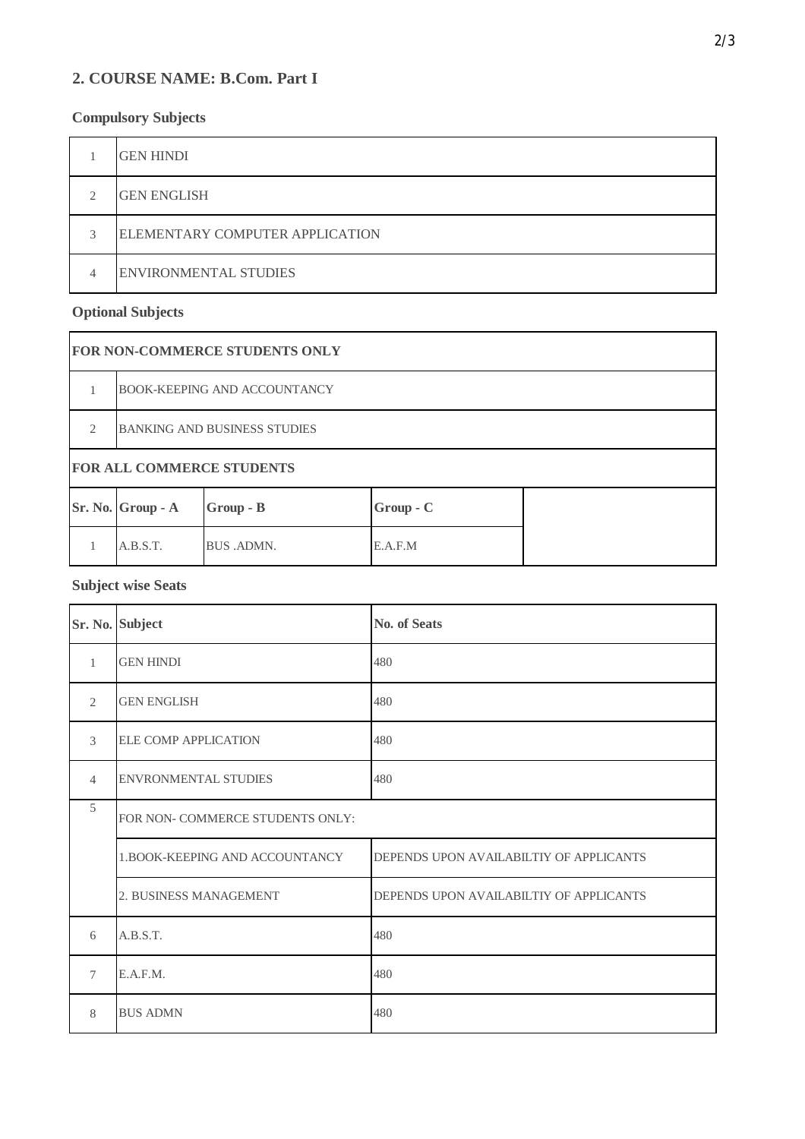### **2. COURSE NAME: B.Com. Part I**

### **Compulsory Subjects**

|   | <b>GEN HINDI</b>                |  |
|---|---------------------------------|--|
| ◠ | <b>GEN ENGLISH</b>              |  |
| 3 | ELEMENTARY COMPUTER APPLICATION |  |
| 4 | <b>ENVIRONMENTAL STUDIES</b>    |  |

### **Optional Subjects**

|               | <b>FOR NON-COMMERCE STUDENTS ONLY</b> |                   |             |  |  |
|---------------|---------------------------------------|-------------------|-------------|--|--|
|               | <b>BOOK-KEEPING AND ACCOUNTANCY</b>   |                   |             |  |  |
| $\mathcal{L}$ | <b>BANKING AND BUSINESS STUDIES</b>   |                   |             |  |  |
|               | <b>FOR ALL COMMERCE STUDENTS</b>      |                   |             |  |  |
|               | Sr. No. Group - A                     | Group - B         | $Group - C$ |  |  |
|               | A.B.S.T.                              | <b>BUS .ADMN.</b> | E.A.F.M     |  |  |

#### **Subject wise Seats**

|                | Sr. No. Subject                  | <b>No. of Seats</b>                     |
|----------------|----------------------------------|-----------------------------------------|
| $\mathbf{1}$   | <b>GEN HINDI</b>                 | 480                                     |
| $\overline{2}$ | <b>GEN ENGLISH</b>               | 480                                     |
| 3              | <b>ELE COMP APPLICATION</b>      | 480                                     |
| $\overline{4}$ | <b>ENVRONMENTAL STUDIES</b>      | 480                                     |
| 5              | FOR NON- COMMERCE STUDENTS ONLY: |                                         |
|                | 1. BOOK-KEEPING AND ACCOUNTANCY  | DEPENDS UPON AVAILABILTIY OF APPLICANTS |
|                | 2. BUSINESS MANAGEMENT           | DEPENDS UPON AVAILABILTIY OF APPLICANTS |
| 6              | A.B.S.T.                         | 480                                     |
| $\tau$         | E.A.F.M.                         | 480                                     |
| 8              | <b>BUS ADMN</b>                  | 480                                     |